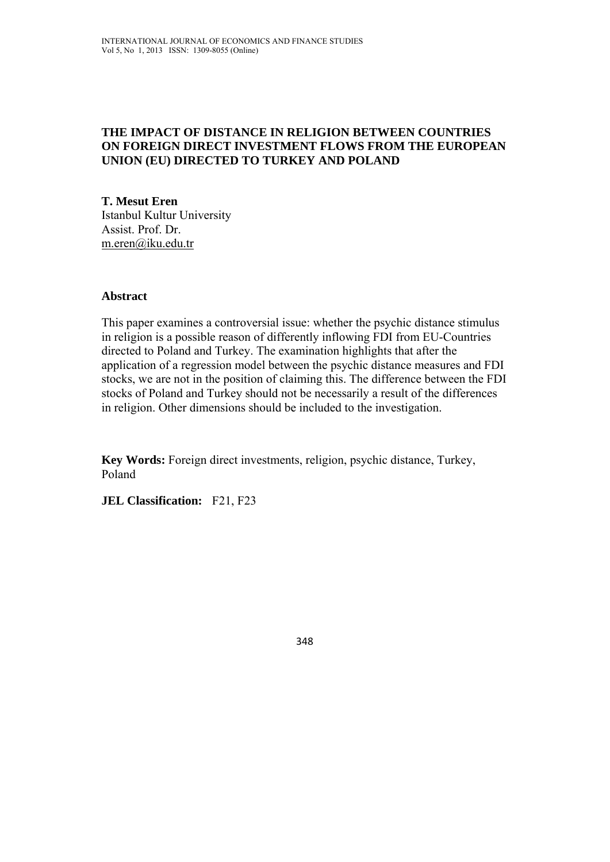### **THE IMPACT OF DISTANCE IN RELIGION BETWEEN COUNTRIES ON FOREIGN DIRECT INVESTMENT FLOWS FROM THE EUROPEAN UNION (EU) DIRECTED TO TURKEY AND POLAND**

**T. Mesut Eren**  Istanbul Kultur University Assist. Prof. Dr. m.eren@iku.edu.tr

#### **Abstract**

This paper examines a controversial issue: whether the psychic distance stimulus in religion is a possible reason of differently inflowing FDI from EU-Countries directed to Poland and Turkey. The examination highlights that after the application of a regression model between the psychic distance measures and FDI stocks, we are not in the position of claiming this. The difference between the FDI stocks of Poland and Turkey should not be necessarily a result of the differences in religion. Other dimensions should be included to the investigation.

**Key Words:** Foreign direct investments, religion, psychic distance, Turkey, Poland

**JEL Classification:** F21, F23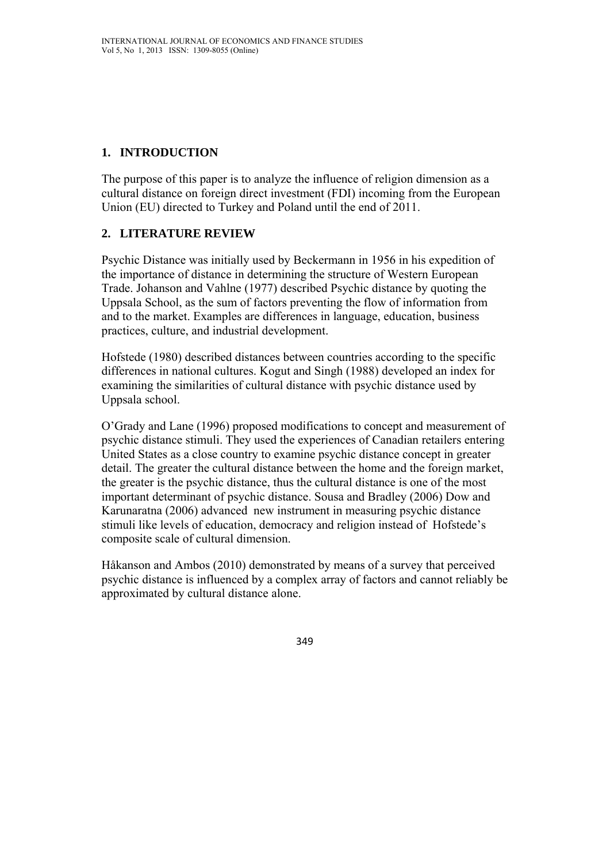# **1. INTRODUCTION**

The purpose of this paper is to analyze the influence of religion dimension as a cultural distance on foreign direct investment (FDI) incoming from the European Union (EU) directed to Turkey and Poland until the end of 2011.

## **2. LITERATURE REVIEW**

Psychic Distance was initially used by Beckermann in 1956 in his expedition of the importance of distance in determining the structure of Western European Trade. Johanson and Vahlne (1977) described Psychic distance by quoting the Uppsala School, as the sum of factors preventing the flow of information from and to the market. Examples are differences in language, education, business practices, culture, and industrial development.

Hofstede (1980) described distances between countries according to the specific differences in national cultures. Kogut and Singh (1988) developed an index for examining the similarities of cultural distance with psychic distance used by Uppsala school.

O'Grady and Lane (1996) proposed modifications to concept and measurement of psychic distance stimuli. They used the experiences of Canadian retailers entering United States as a close country to examine psychic distance concept in greater detail. The greater the cultural distance between the home and the foreign market, the greater is the psychic distance, thus the cultural distance is one of the most important determinant of psychic distance. Sousa and Bradley (2006) Dow and Karunaratna (2006) advanced new instrument in measuring psychic distance stimuli like levels of education, democracy and religion instead of Hofstede's composite scale of cultural dimension.

Håkanson and Ambos (2010) demonstrated by means of a survey that perceived psychic distance is influenced by a complex array of factors and cannot reliably be approximated by cultural distance alone.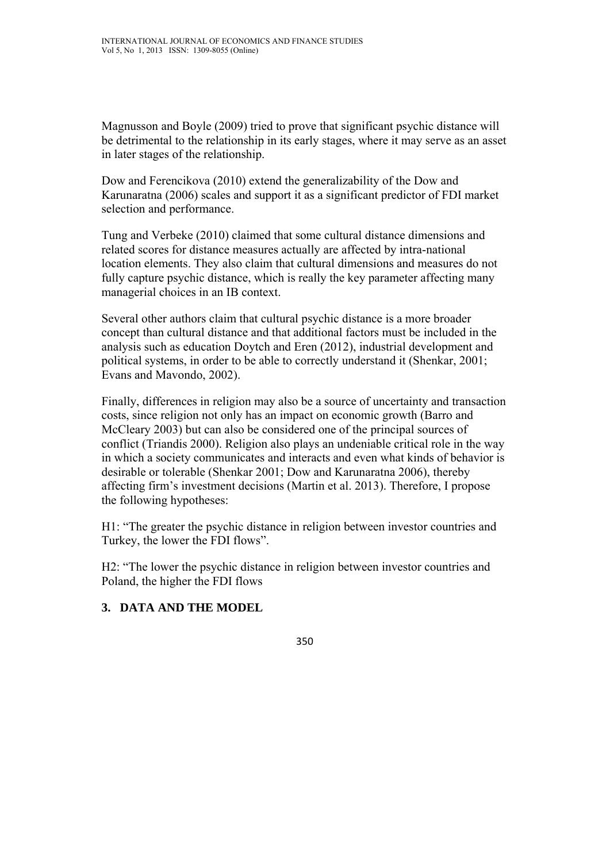Magnusson and Boyle (2009) tried to prove that significant psychic distance will be detrimental to the relationship in its early stages, where it may serve as an asset in later stages of the relationship.

Dow and Ferencikova (2010) extend the generalizability of the Dow and Karunaratna (2006) scales and support it as a significant predictor of FDI market selection and performance.

Tung and Verbeke (2010) claimed that some cultural distance dimensions and related scores for distance measures actually are affected by intra-national location elements. They also claim that cultural dimensions and measures do not fully capture psychic distance, which is really the key parameter affecting many managerial choices in an IB context.

Several other authors claim that cultural psychic distance is a more broader concept than cultural distance and that additional factors must be included in the analysis such as education Doytch and Eren (2012), industrial development and political systems, in order to be able to correctly understand it (Shenkar, 2001; Evans and Mavondo, 2002).

Finally, differences in religion may also be a source of uncertainty and transaction costs, since religion not only has an impact on economic growth (Barro and McCleary 2003) but can also be considered one of the principal sources of conflict (Triandis 2000). Religion also plays an undeniable critical role in the way in which a society communicates and interacts and even what kinds of behavior is desirable or tolerable (Shenkar 2001; Dow and Karunaratna 2006), thereby affecting firm's investment decisions (Martin et al. 2013). Therefore, I propose the following hypotheses:

H1: "The greater the psychic distance in religion between investor countries and Turkey, the lower the FDI flows".

H2: "The lower the psychic distance in religion between investor countries and Poland, the higher the FDI flows

### **3. DATA AND THE MODEL**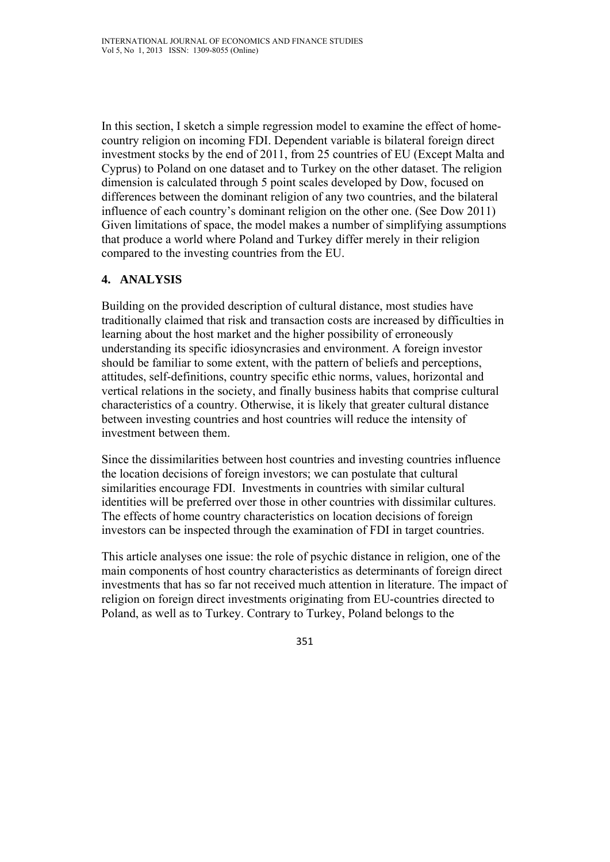In this section, I sketch a simple regression model to examine the effect of homecountry religion on incoming FDI. Dependent variable is bilateral foreign direct investment stocks by the end of 2011, from 25 countries of EU (Except Malta and Cyprus) to Poland on one dataset and to Turkey on the other dataset. The religion dimension is calculated through 5 point scales developed by Dow, focused on differences between the dominant religion of any two countries, and the bilateral influence of each country's dominant religion on the other one. (See Dow 2011) Given limitations of space, the model makes a number of simplifying assumptions that produce a world where Poland and Turkey differ merely in their religion compared to the investing countries from the EU.

## **4. ANALYSIS**

Building on the provided description of cultural distance, most studies have traditionally claimed that risk and transaction costs are increased by difficulties in learning about the host market and the higher possibility of erroneously understanding its specific idiosyncrasies and environment. A foreign investor should be familiar to some extent, with the pattern of beliefs and perceptions, attitudes, self-definitions, country specific ethic norms, values, horizontal and vertical relations in the society, and finally business habits that comprise cultural characteristics of a country. Otherwise, it is likely that greater cultural distance between investing countries and host countries will reduce the intensity of investment between them.

Since the dissimilarities between host countries and investing countries influence the location decisions of foreign investors; we can postulate that cultural similarities encourage FDI. Investments in countries with similar cultural identities will be preferred over those in other countries with dissimilar cultures. The effects of home country characteristics on location decisions of foreign investors can be inspected through the examination of FDI in target countries.

This article analyses one issue: the role of psychic distance in religion, one of the main components of host country characteristics as determinants of foreign direct investments that has so far not received much attention in literature. The impact of religion on foreign direct investments originating from EU-countries directed to Poland, as well as to Turkey. Contrary to Turkey, Poland belongs to the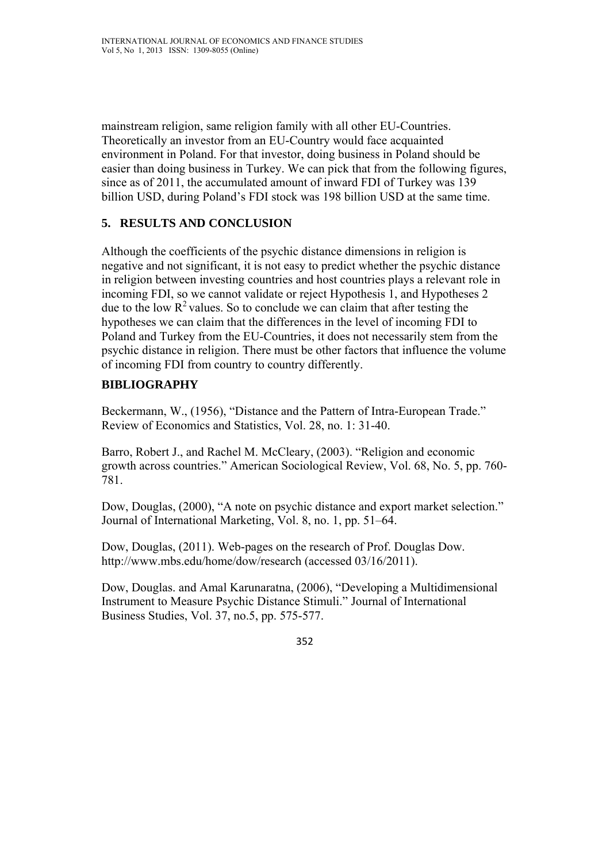mainstream religion, same religion family with all other EU-Countries. Theoretically an investor from an EU-Country would face acquainted environment in Poland. For that investor, doing business in Poland should be easier than doing business in Turkey. We can pick that from the following figures, since as of 2011, the accumulated amount of inward FDI of Turkey was 139 billion USD, during Poland's FDI stock was 198 billion USD at the same time.

### **5. RESULTS AND CONCLUSION**

Although the coefficients of the psychic distance dimensions in religion is negative and not significant, it is not easy to predict whether the psychic distance in religion between investing countries and host countries plays a relevant role in incoming FDI, so we cannot validate or reject Hypothesis 1, and Hypotheses 2 due to the low  $R^2$  values. So to conclude we can claim that after testing the hypotheses we can claim that the differences in the level of incoming FDI to Poland and Turkey from the EU-Countries, it does not necessarily stem from the psychic distance in religion. There must be other factors that influence the volume of incoming FDI from country to country differently.

# **BIBLIOGRAPHY**

Beckermann, W., (1956), "Distance and the Pattern of Intra-European Trade." Review of Economics and Statistics, Vol. 28, no. 1: 31-40.

Barro, Robert J., and Rachel M. McCleary, (2003). "Religion and economic growth across countries." American Sociological Review, Vol. 68, No. 5, pp. 760- 781.

Dow, Douglas, (2000), "A note on psychic distance and export market selection." Journal of International Marketing, Vol. 8, no. 1, pp. 51–64.

Dow, Douglas, (2011). Web-pages on the research of Prof. Douglas Dow. http://www.mbs.edu/home/dow/research (accessed 03/16/2011).

Dow, Douglas. and Amal Karunaratna, (2006), "Developing a Multidimensional Instrument to Measure Psychic Distance Stimuli." Journal of International Business Studies, Vol. 37, no.5, pp. 575-577.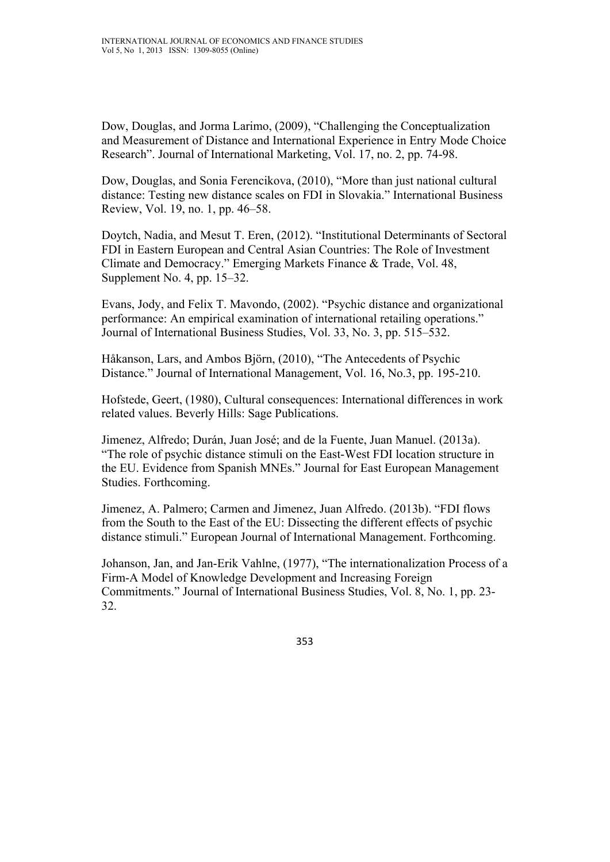Dow, Douglas, and Jorma Larimo, (2009), "Challenging the Conceptualization and Measurement of Distance and International Experience in Entry Mode Choice Research". Journal of International Marketing, Vol. 17, no. 2, pp. 74-98.

Dow, Douglas, and Sonia Ferencikova, (2010), "More than just national cultural distance: Testing new distance scales on FDI in Slovakia." International Business Review, Vol. 19, no. 1, pp. 46–58.

Doytch, Nadia, and Mesut T. Eren, (2012). "Institutional Determinants of Sectoral FDI in Eastern European and Central Asian Countries: The Role of Investment Climate and Democracy." Emerging Markets Finance & Trade, Vol. 48, Supplement No. 4, pp. 15–32.

Evans, Jody, and Felix T. Mavondo, (2002). "Psychic distance and organizational performance: An empirical examination of international retailing operations." Journal of International Business Studies, Vol. 33, No. 3, pp. 515–532.

Håkanson, Lars, and Ambos Björn, (2010), "The Antecedents of Psychic Distance." Journal of International Management, Vol. 16, No.3, pp. 195-210.

Hofstede, Geert, (1980), Cultural consequences: International differences in work related values. Beverly Hills: Sage Publications.

Jimenez, Alfredo; Durán, Juan José; and de la Fuente, Juan Manuel. (2013a). "The role of psychic distance stimuli on the East-West FDI location structure in the EU. Evidence from Spanish MNEs." Journal for East European Management Studies. Forthcoming.

Jimenez, A. Palmero; Carmen and Jimenez, Juan Alfredo. (2013b). "FDI flows from the South to the East of the EU: Dissecting the different effects of psychic distance stimuli." European Journal of International Management. Forthcoming.

Johanson, Jan, and Jan-Erik Vahlne, (1977), "The internationalization Process of a Firm-A Model of Knowledge Development and Increasing Foreign Commitments." Journal of International Business Studies, Vol. 8, No. 1, pp. 23- 32.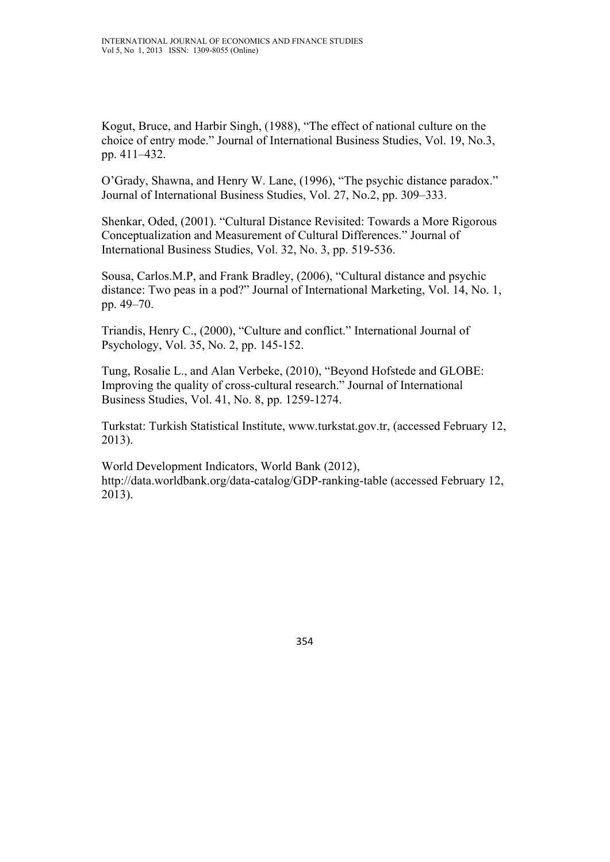Kogut, Bruce, and Harbir Singh, (1988), "The effect of national culture on the choice of entry mode." Journal of International Business Studies, Vol. 19, No.3, pp. 411–432.

O'Grady, Shawna, and Henry W. Lane, (1996), "The psychic distance paradox." Journal of International Business Studies, Vol. 27, No.2, pp. 309–333.

Shenkar, Oded, (2001). "Cultural Distance Revisited: Towards a More Rigorous Conceptualization and Measurement of Cultural Differences." Journal of International Business Studies, Vol. 32, No. 3, pp. 519-536.

Sousa, Carlos.M.P, and Frank Bradley, (2006), "Cultural distance and psychic distance: Two peas in a pod?" Journal of International Marketing, Vol. 14, No. 1, pp. 49–70.

Triandis, Henry C., (2000), "Culture and conflict." International Journal of Psychology, Vol. 35, No. 2, pp. 145-152.

Tung, Rosalie L., and Alan Verbeke, (2010), "Beyond Hofstede and GLOBE: Improving the quality of cross-cultural research." Journal of International Business Studies, Vol. 41, No. 8, pp. 1259-1274.

Turkstat: Turkish Statistical Institute, www.turkstat.gov.tr, (accessed February 12, 2013).

World Development Indicators, World Bank (2012), http://data.worldbank.org/data-catalog/GDP-ranking-table (accessed February 12, 2013).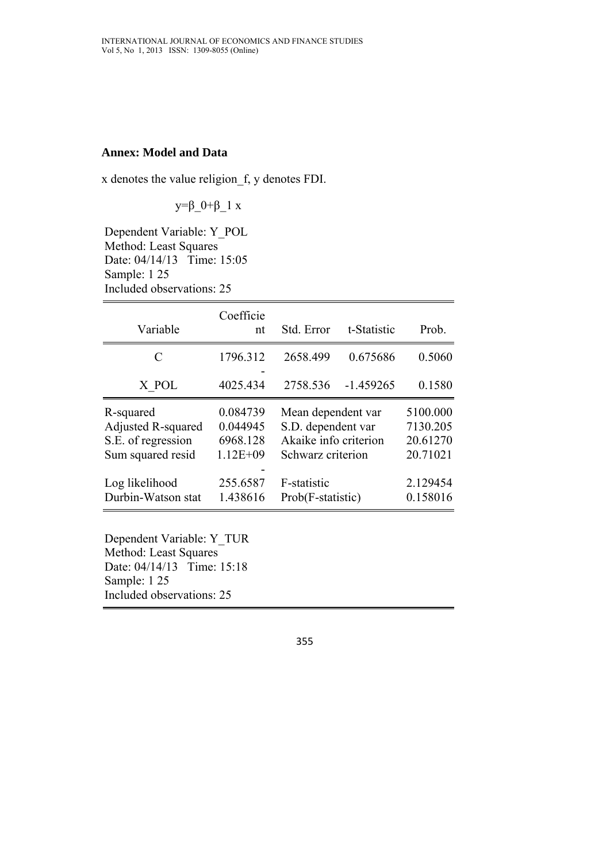#### **Annex: Model and Data**

x denotes the value religion\_f, y denotes FDI.

y= $β_0+β_1 x$ 

Dependent Variable: Y\_POL Method: Least Squares Date: 04/14/13 Time: 15:05 Sample: 1 25 Included observations: 25

| Variable                                                                          | Coefficie<br>nt                                  | Std. Error                                                                             | t-Statistic | Prob.                                        |
|-----------------------------------------------------------------------------------|--------------------------------------------------|----------------------------------------------------------------------------------------|-------------|----------------------------------------------|
| $\mathcal{C}_{\mathcal{C}}$                                                       | 1796.312                                         | 2658.499                                                                               | 0.675686    | 0.5060                                       |
| X POL                                                                             | 4025.434                                         | 2758.536                                                                               | $-1.459265$ | 0.1580                                       |
| R-squared<br><b>Adjusted R-squared</b><br>S.E. of regression<br>Sum squared resid | 0.084739<br>0.044945<br>6968.128<br>$1.12E + 09$ | Mean dependent var<br>S.D. dependent var<br>Akaike info criterion<br>Schwarz criterion |             | 5100.000<br>7130.205<br>20.61270<br>20.71021 |
| Log likelihood<br>Durbin-Watson stat                                              | 255.6587<br>1.438616                             | F-statistic<br>Prob(F-statistic)                                                       |             | 2.129454<br>0.158016                         |

Dependent Variable: Y\_TUR Method: Least Squares Date: 04/14/13 Time: 15:18 Sample: 1 25 Included observations: 25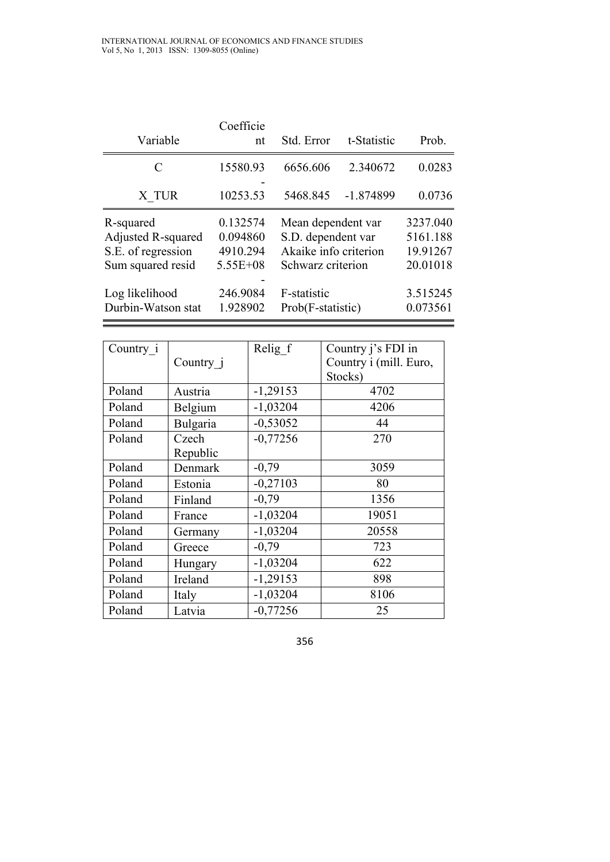| Variable                                                                   | Coefficie<br>nt                                  | Std. Error                                                                             | t-Statistic | Prob.                                        |
|----------------------------------------------------------------------------|--------------------------------------------------|----------------------------------------------------------------------------------------|-------------|----------------------------------------------|
| C                                                                          | 15580.93                                         | 6656.606                                                                               | 2.340672    | 0.0283                                       |
| X TUR                                                                      | 10253.53                                         | 5468.845                                                                               | $-1.874899$ | 0.0736                                       |
| R-squared<br>Adjusted R-squared<br>S.E. of regression<br>Sum squared resid | 0.132574<br>0.094860<br>4910.294<br>$5.55E + 08$ | Mean dependent var<br>S.D. dependent var<br>Akaike info criterion<br>Schwarz criterion |             | 3237.040<br>5161.188<br>19.91267<br>20.01018 |
| Log likelihood<br>Durbin-Watson stat                                       | 246.9084<br>1.928902                             | F-statistic<br>Prob(F-statistic)                                                       |             | 3.515245<br>0.073561                         |

| Country_i |           | Relig f    | Country j's FDI in     |
|-----------|-----------|------------|------------------------|
|           | Country j |            | Country i (mill. Euro, |
|           |           |            | Stocks)                |
| Poland    | Austria   | $-1,29153$ | 4702                   |
| Poland    | Belgium   | $-1,03204$ | 4206                   |
| Poland    | Bulgaria  | $-0,53052$ | 44                     |
| Poland    | Czech     | $-0,77256$ | 270                    |
|           | Republic  |            |                        |
| Poland    | Denmark   | $-0,79$    | 3059                   |
| Poland    | Estonia   | $-0,27103$ | 80                     |
| Poland    | Finland   | $-0,79$    | 1356                   |
| Poland    | France    | $-1,03204$ | 19051                  |
| Poland    | Germany   | $-1,03204$ | 20558                  |
| Poland    | Greece    | $-0,79$    | 723                    |
| Poland    | Hungary   | $-1,03204$ | 622                    |
| Poland    | Ireland   | $-1,29153$ | 898                    |
| Poland    | Italy     | $-1,03204$ | 8106                   |
| Poland    | Latvia    | $-0,77256$ | 25                     |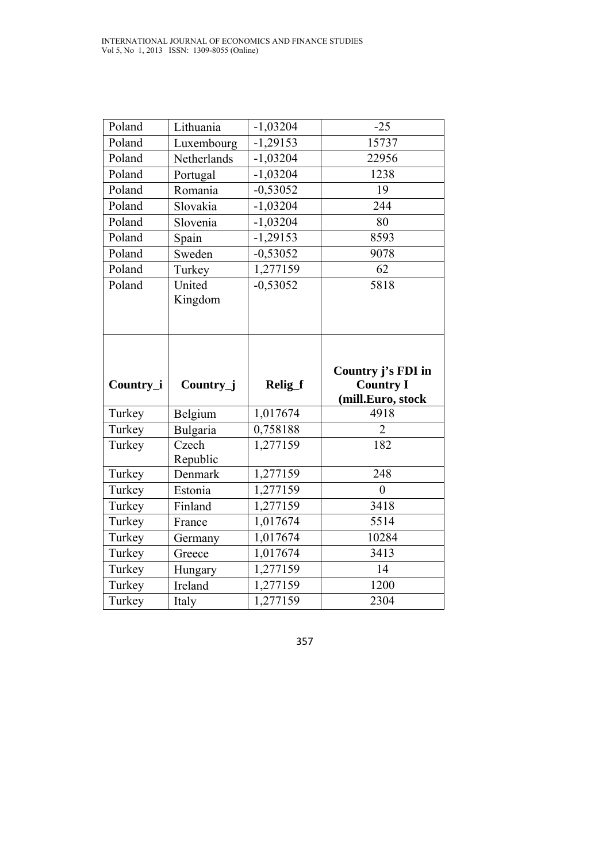| Poland    | Lithuania           | $-1,03204$            | $-25$                                                       |
|-----------|---------------------|-----------------------|-------------------------------------------------------------|
| Poland    | Luxembourg          | $-1,29153$            | 15737                                                       |
| Poland    | Netherlands         | $-1,03204$            | 22956                                                       |
| Poland    | Portugal            | $\overline{-1,03204}$ | 1238                                                        |
| Poland    | Romania             | $-0,53052$            | 19                                                          |
| Poland    | Slovakia            | $-1,03204$            | 244                                                         |
| Poland    | Slovenia            | $-1,03204$            | 80                                                          |
| Poland    | Spain               | $-1,29153$            | 8593                                                        |
| Poland    | Sweden              | $-0,53052$            | 9078                                                        |
| Poland    | Turkey              | 1,277159              | 62                                                          |
| Poland    | United<br>Kingdom   | $-0,53052$            | 5818                                                        |
|           |                     |                       |                                                             |
| Country_i | Country_j           | Relig_f               | Country j's FDI in<br><b>Country I</b><br>(mill.Euro, stock |
| Turkey    | Belgium             | 1,017674              | 4918                                                        |
| Turkey    | Bulgaria            | 0,758188              | $\overline{2}$                                              |
| Turkey    | Czech               | 1,277159              | 182                                                         |
| Turkey    | Republic<br>Denmark | 1,277159              | 248                                                         |
| Turkey    | Estonia             | 1,277159              | $\mathbf{0}$                                                |
| Turkey    | Finland             | 1,277159              | 3418                                                        |
| Turkey    | France              | 1,017674              | 5514                                                        |
| Turkey    | Germany             | 1,017674              | 10284                                                       |
| Turkey    | Greece              | 1,017674              | 3413                                                        |
| Turkey    | Hungary             | 1,277159              | 14                                                          |
| Turkey    | Ireland             | 1,277159              | 1200                                                        |